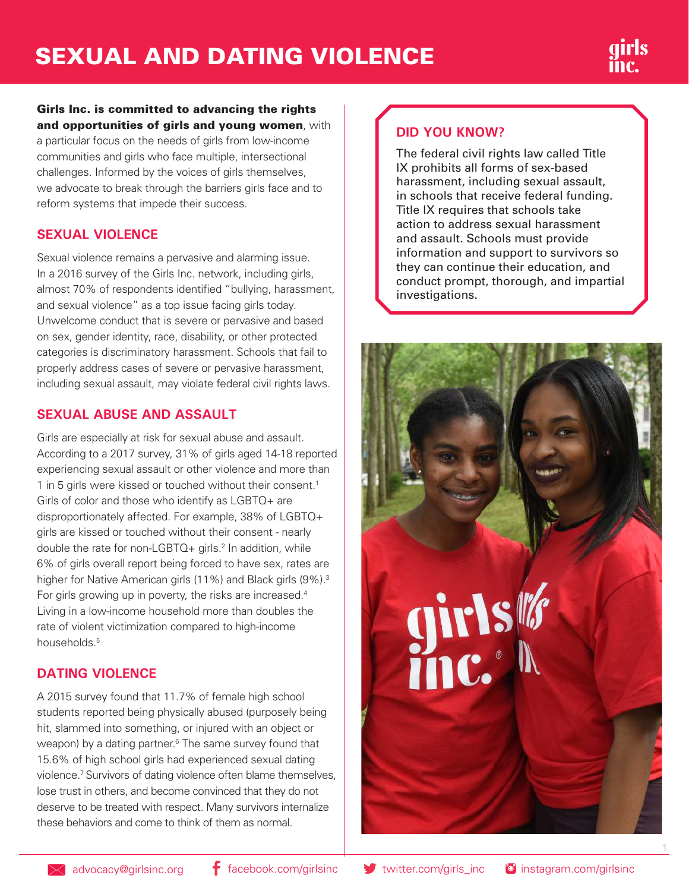#### Girls Inc. is committed to advancing the rights and opportunities of girls and young women, with

a particular focus on the needs of girls from low-income communities and girls who face multiple, intersectional challenges. Informed by the voices of girls themselves, we advocate to break through the barriers girls face and to reform systems that impede their success.

### **SEXUAL VIOLENCE**

Sexual violence remains a pervasive and alarming issue. In a 2016 survey of the Girls Inc. network, including girls, almost 70% of respondents identified "bullying, harassment, and sexual violence" as a top issue facing girls today. Unwelcome conduct that is severe or pervasive and based on sex, gender identity, race, disability, or other protected categories is discriminatory harassment. Schools that fail to properly address cases of severe or pervasive harassment, including sexual assault, may violate federal civil rights laws.

## **SEXUAL ABUSE AND ASSAULT**

Girls are especially at risk for sexual abuse and assault. According to a 2017 survey, 31% of girls aged 14-18 reported experiencing sexual assault or other violence and more than 1 in 5 girls were kissed or touched without their consent.<sup>1</sup> Girls of color and those who identify as LGBTQ+ are disproportionately affected. For example, 38% of LGBTQ+ girls are kissed or touched without their consent - nearly double the rate for non-LGBTQ+ girls.<sup>2</sup> In addition, while 6% of girls overall report being forced to have sex, rates are higher for Native American girls (11%) and Black girls (9%).<sup>3</sup> For girls growing up in poverty, the risks are increased.<sup>4</sup> Living in a low-income household more than doubles the rate of violent victimization compared to high-income households<sup>5</sup>

# **DATING VIOLENCE**

A 2015 survey found that 11.7% of female high school students reported being physically abused (purposely being hit, slammed into something, or injured with an object or weapon) by a dating partner.<sup>6</sup> The same survey found that 15.6% of high school girls had experienced sexual dating violence.7 Survivors of dating violence often blame themselves, lose trust in others, and become convinced that they do not deserve to be treated with respect. Many survivors internalize these behaviors and come to think of them as normal.

# **DID YOU KNOW?**

The federal civil rights law called Title IX prohibits all forms of sex-based harassment, including sexual assault, in schools that receive federal funding. Title IX requires that schools take action to address sexual harassment and assault. Schools must provide information and support to survivors so they can continue their education, and conduct prompt, thorough, and impartial investigations.